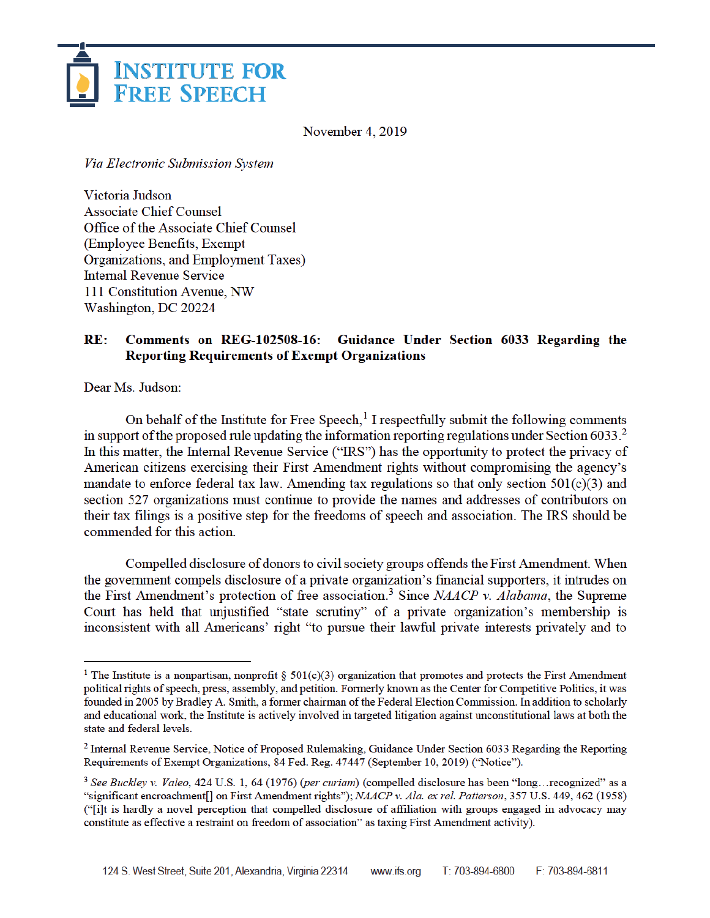

November 4, 2019

Via Electronic Submission System

Victoria Judson **Associate Chief Counsel** Office of the Associate Chief Counsel (Employee Benefits, Exempt Organizations, and Employment Taxes) **Internal Revenue Service** 111 Constitution Avenue, NW Washington, DC 20224

## **Comments on REG-102508-16:**  $RE:$ Guidance Under Section 6033 Regarding the **Reporting Requirements of Exempt Organizations**

Dear Ms. Judson:

On behalf of the Institute for Free Speech,<sup>1</sup> I respectfully submit the following comments in support of the proposed rule updating the information reporting regulations under Section 6033.<sup>2</sup> In this matter, the Internal Revenue Service ("IRS") has the opportunity to protect the privacy of American citizens exercising their First Amendment rights without compromising the agency's mandate to enforce federal tax law. Amending tax regulations so that only section  $501(c)(3)$  and section 527 organizations must continue to provide the names and addresses of contributors on their tax filings is a positive step for the freedoms of speech and association. The IRS should be commended for this action.

Compelled disclosure of donors to civil society groups offends the First Amendment. When the government compels disclosure of a private organization's financial supporters, it intrudes on the First Amendment's protection of free association.<sup>3</sup> Since NAACP v. Alabama, the Supreme Court has held that unjustified "state scrutiny" of a private organization's membership is inconsistent with all Americans' right "to pursue their lawful private interests privately and to

<sup>&</sup>lt;sup>1</sup> The Institute is a nonpartisan, nonprofit § 501(c)(3) organization that promotes and protects the First Amendment political rights of speech, press, assembly, and petition. Formerly known as the Center for Competitive Politics, it was founded in 2005 by Bradley A. Smith, a former chairman of the Federal Election Commission. In addition to scholarly and educational work, the Institute is actively involved in targeted litigation against unconstitutional laws at both the state and federal levels.

<sup>&</sup>lt;sup>2</sup> Internal Revenue Service, Notice of Proposed Rulemaking, Guidance Under Section 6033 Regarding the Reporting Requirements of Exempt Organizations, 84 Fed. Reg. 47447 (September 10, 2019) ("Notice").

<sup>&</sup>lt;sup>3</sup> See Buckley v. Valeo, 424 U.S. 1, 64 (1976) (per curiam) (compelled disclosure has been "long...recognized" as a "significant encroachment[] on First Amendment rights"); NAACP v. Ala. ex rel. Patterson, 357 U.S. 449, 462 (1958) ("i)t is hardly a novel perception that compelled disclosure of affiliation with groups engaged in advocacy may constitute as effective a restraint on freedom of association" as taxing First Amendment activity).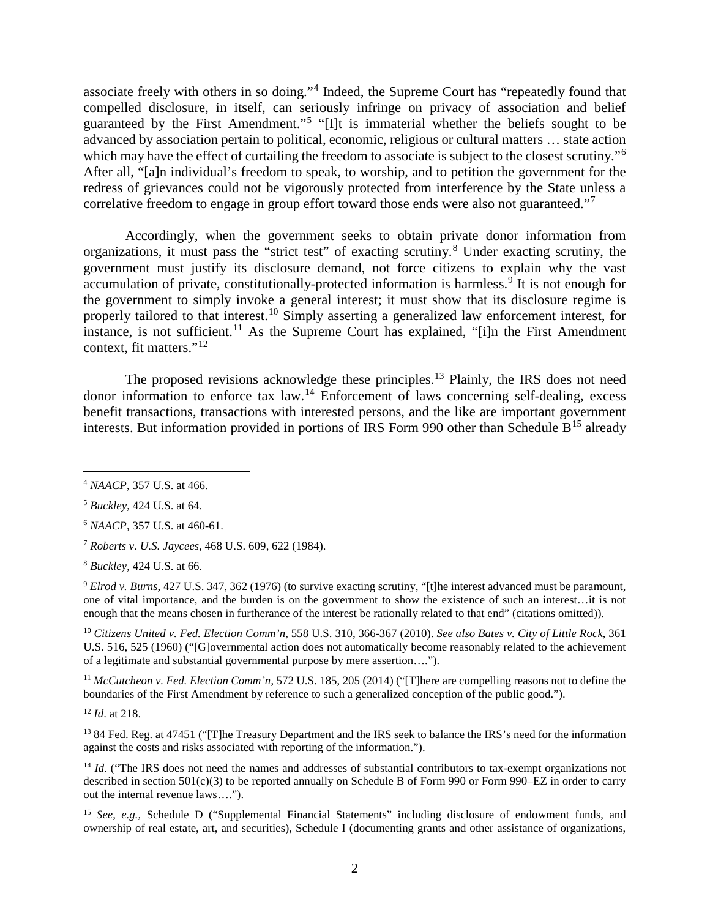associate freely with others in so doing."<sup>4</sup> Indeed, the Supreme Court has "repeatedly found that compelled disclosure, in itself, can seriously infringe on privacy of association and belief guaranteed by the First Amendment."<sup>5</sup> "[I]t is immaterial whether the beliefs sought to be advanced by association pertain to political, economic, religious or cultural matters … state action which may have the effect of curtailing the freedom to associate is subject to the closest scrutiny."<sup>6</sup> After all, "[a]n individual's freedom to speak, to worship, and to petition the government for the redress of grievances could not be vigorously protected from interference by the State unless a correlative freedom to engage in group effort toward those ends were also not guaranteed."<sup>7</sup>

Accordingly, when the government seeks to obtain private donor information from organizations, it must pass the "strict test" of exacting scrutiny.<sup>8</sup> Under exacting scrutiny, the government must justify its disclosure demand, not force citizens to explain why the vast accumulation of private, constitutionally-protected information is harmless.<sup>9</sup> It is not enough for the government to simply invoke a general interest; it must show that its disclosure regime is properly tailored to that interest.<sup>10</sup> Simply asserting a generalized law enforcement interest, for instance, is not sufficient.<sup>11</sup> As the Supreme Court has explained, "[i]n the First Amendment context, fit matters."<sup>12</sup>

The proposed revisions acknowledge these principles.<sup>13</sup> Plainly, the IRS does not need donor information to enforce tax law.<sup>14</sup> Enforcement of laws concerning self-dealing, excess benefit transactions, transactions with interested persons, and the like are important government interests. But information provided in portions of IRS Form 990 other than Schedule  $B<sup>15</sup>$  already

l

<sup>9</sup> *Elrod v. Burns*, 427 U.S. 347, 362 (1976) (to survive exacting scrutiny, "[t]he interest advanced must be paramount, one of vital importance, and the burden is on the government to show the existence of such an interest…it is not enough that the means chosen in furtherance of the interest be rationally related to that end" (citations omitted)).

<sup>10</sup> *Citizens United v. Fed. Election Comm'n*, 558 U.S. 310, 366-367 (2010). *See also Bates v. City of Little Rock*, 361 U.S. 516, 525 (1960) ("[G]overnmental action does not automatically become reasonably related to the achievement of a legitimate and substantial governmental purpose by mere assertion….").

<sup>11</sup> *McCutcheon v. Fed. Election Comm'n*, 572 U.S. 185, 205 (2014) ("[T]here are compelling reasons not to define the boundaries of the First Amendment by reference to such a generalized conception of the public good.").

<sup>12</sup> *Id*. at 218.

<sup>13</sup> 84 Fed. Reg. at 47451 ("[T]he Treasury Department and the IRS seek to balance the IRS's need for the information against the costs and risks associated with reporting of the information.").

<sup>14</sup> *Id.* ("The IRS does not need the names and addresses of substantial contributors to tax-exempt organizations not described in section 501(c)(3) to be reported annually on Schedule B of Form 990 or Form 990–EZ in order to carry out the internal revenue laws….").

<sup>15</sup> *See*, *e.g.*, *Schedule D* ("Supplemental Financial Statements" including disclosure of endowment funds, and ownership of real estate, art, and securities), Schedule I (documenting grants and other assistance of organizations,

<sup>4</sup> *NAACP*, 357 U.S. at 466.

<sup>5</sup> *Buckley*, 424 U.S. at 64.

<sup>6</sup> *NAACP*, 357 U.S. at 460-61.

<sup>7</sup> *Roberts v. U.S. Jaycees*, 468 U.S. 609, 622 (1984).

<sup>8</sup> *Buckley*, 424 U.S. at 66.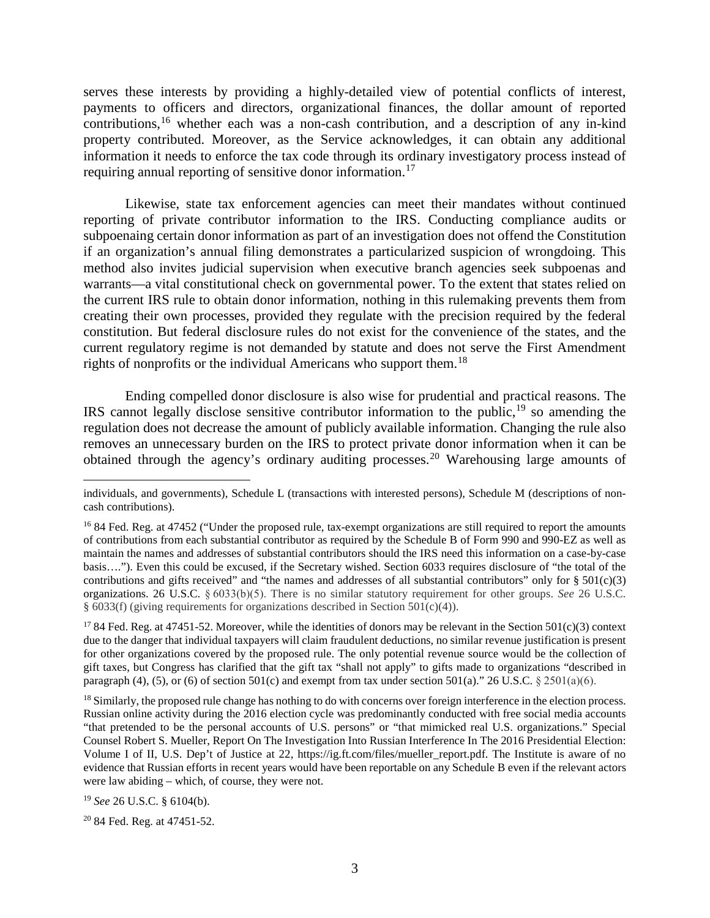serves these interests by providing a highly-detailed view of potential conflicts of interest, payments to officers and directors, organizational finances, the dollar amount of reported contributions,<sup>16</sup> whether each was a non-cash contribution, and a description of any in-kind property contributed. Moreover, as the Service acknowledges, it can obtain any additional information it needs to enforce the tax code through its ordinary investigatory process instead of requiring annual reporting of sensitive donor information.<sup>17</sup>

Likewise, state tax enforcement agencies can meet their mandates without continued reporting of private contributor information to the IRS. Conducting compliance audits or subpoenaing certain donor information as part of an investigation does not offend the Constitution if an organization's annual filing demonstrates a particularized suspicion of wrongdoing. This method also invites judicial supervision when executive branch agencies seek subpoenas and warrants—a vital constitutional check on governmental power. To the extent that states relied on the current IRS rule to obtain donor information, nothing in this rulemaking prevents them from creating their own processes, provided they regulate with the precision required by the federal constitution. But federal disclosure rules do not exist for the convenience of the states, and the current regulatory regime is not demanded by statute and does not serve the First Amendment rights of nonprofits or the individual Americans who support them.<sup>18</sup>

Ending compelled donor disclosure is also wise for prudential and practical reasons. The IRS cannot legally disclose sensitive contributor information to the public,  $19$  so amending the regulation does not decrease the amount of publicly available information. Changing the rule also removes an unnecessary burden on the IRS to protect private donor information when it can be obtained through the agency's ordinary auditing processes.<sup>20</sup> Warehousing large amounts of

<sup>19</sup> *See* 26 U.S.C. § 6104(b).

 $\overline{\phantom{a}}$ 

individuals, and governments), Schedule L (transactions with interested persons), Schedule M (descriptions of noncash contributions).

<sup>&</sup>lt;sup>16</sup> 84 Fed. Reg. at 47452 ("Under the proposed rule, tax-exempt organizations are still required to report the amounts of contributions from each substantial contributor as required by the Schedule B of Form 990 and 990-EZ as well as maintain the names and addresses of substantial contributors should the IRS need this information on a case-by-case basis…."). Even this could be excused, if the Secretary wished. Section 6033 requires disclosure of "the total of the contributions and gifts received" and "the names and addresses of all substantial contributors" only for  $\S 501(c)(3)$ organizations. 26 U.S.C. § 6033(b)(5). There is no similar statutory requirement for other groups. *See* 26 U.S.C. § 6033(f) (giving requirements for organizations described in Section 501(c)(4)).

<sup>&</sup>lt;sup>17</sup> 84 Fed. Reg. at 47451-52. Moreover, while the identities of donors may be relevant in the Section 501(c)(3) context due to the danger that individual taxpayers will claim fraudulent deductions, no similar revenue justification is present for other organizations covered by the proposed rule. The only potential revenue source would be the collection of gift taxes, but Congress has clarified that the gift tax "shall not apply" to gifts made to organizations "described in paragraph (4), (5), or (6) of section 501(c) and exempt from tax under section 501(a)." 26 U.S.C. § 2501(a)(6).

<sup>&</sup>lt;sup>18</sup> Similarly, the proposed rule change has nothing to do with concerns over foreign interference in the election process. Russian online activity during the 2016 election cycle was predominantly conducted with free social media accounts "that pretended to be the personal accounts of U.S. persons" or "that mimicked real U.S. organizations." Special Counsel Robert S. Mueller, Report On The Investigation Into Russian Interference In The 2016 Presidential Election: Volume I of II, U.S. Dep't of Justice at 22, https://ig.ft.com/files/mueller\_report.pdf. The Institute is aware of no evidence that Russian efforts in recent years would have been reportable on any Schedule B even if the relevant actors were law abiding – which, of course, they were not.

<sup>20</sup> 84 Fed. Reg. at 47451-52.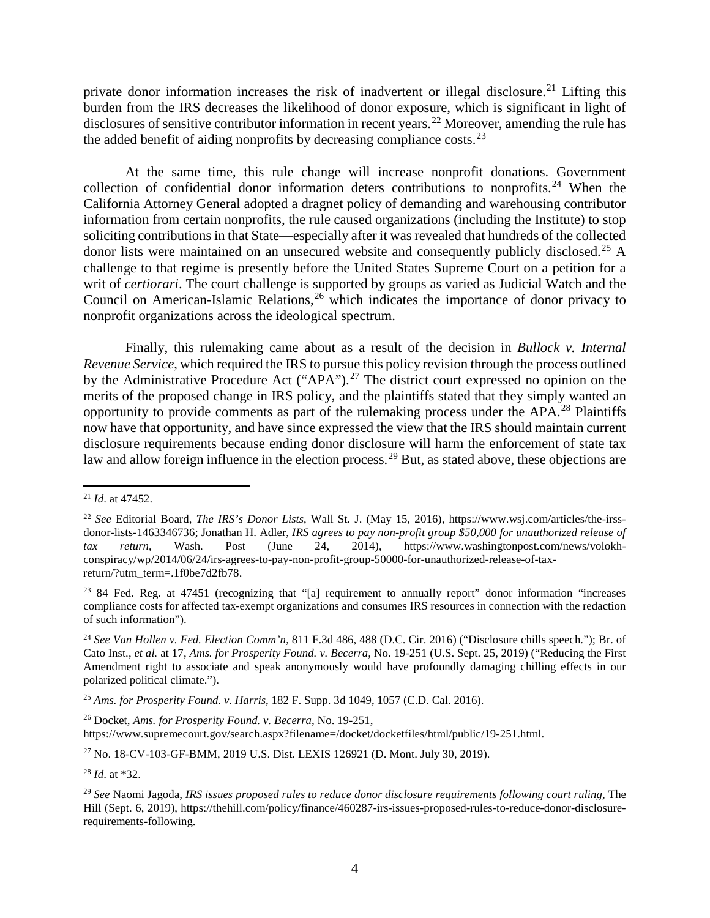private donor information increases the risk of inadvertent or illegal disclosure.<sup>21</sup> Lifting this burden from the IRS decreases the likelihood of donor exposure, which is significant in light of disclosures of sensitive contributor information in recent years.<sup>22</sup> Moreover, amending the rule has the added benefit of aiding nonprofits by decreasing compliance costs.<sup>23</sup>

At the same time, this rule change will increase nonprofit donations. Government collection of confidential donor information deters contributions to nonprofits.<sup>24</sup> When the California Attorney General adopted a dragnet policy of demanding and warehousing contributor information from certain nonprofits, the rule caused organizations (including the Institute) to stop soliciting contributions in that State—especially after it was revealed that hundreds of the collected donor lists were maintained on an unsecured website and consequently publicly disclosed.<sup>25</sup> A challenge to that regime is presently before the United States Supreme Court on a petition for a writ of *certiorari*. The court challenge is supported by groups as varied as Judicial Watch and the Council on American-Islamic Relations, <sup>26</sup> which indicates the importance of donor privacy to nonprofit organizations across the ideological spectrum.

Finally, this rulemaking came about as a result of the decision in *Bullock v. Internal Revenue Service*, which required the IRS to pursue this policy revision through the process outlined by the Administrative Procedure Act ("APA").<sup>27</sup> The district court expressed no opinion on the merits of the proposed change in IRS policy, and the plaintiffs stated that they simply wanted an opportunity to provide comments as part of the rulemaking process under the APA.<sup>28</sup> Plaintiffs now have that opportunity, and have since expressed the view that the IRS should maintain current disclosure requirements because ending donor disclosure will harm the enforcement of state tax law and allow foreign influence in the election process.<sup>29</sup> But, as stated above, these objections are

l

<sup>25</sup> *Ams. for Prosperity Found. v. Harris*, 182 F. Supp. 3d 1049, 1057 (C.D. Cal. 2016).

<sup>26</sup> Docket, *Ams. for Prosperity Found. v. Becerra*, No. 19-251,

https://www.supremecourt.gov/search.aspx?filename=/docket/docketfiles/html/public/19-251.html.

<sup>27</sup> No. 18-CV-103-GF-BMM, 2019 U.S. Dist. LEXIS 126921 (D. Mont. July 30, 2019).

<sup>28</sup> *Id*. at \*32.

<sup>21</sup> *Id*. at 47452.

<sup>22</sup> *See* Editorial Board, *The IRS's Donor Lists*, Wall St. J. (May 15, 2016), https://www.wsj.com/articles/the-irssdonor-lists-1463346736; Jonathan H. Adler, *IRS agrees to pay non-profit group \$50,000 for unauthorized release of tax return*, Wash. Post (June 24, 2014), https://www.washingtonpost.com/news/volokhconspiracy/wp/2014/06/24/irs-agrees-to-pay-non-profit-group-50000-for-unauthorized-release-of-taxreturn/?utm\_term=.1f0be7d2fb78.

<sup>&</sup>lt;sup>23</sup> 84 Fed. Reg. at 47451 (recognizing that "[a] requirement to annually report" donor information "increases compliance costs for affected tax-exempt organizations and consumes IRS resources in connection with the redaction of such information").

<sup>24</sup> *See Van Hollen v. Fed. Election Comm'n*, 811 F.3d 486, 488 (D.C. Cir. 2016) ("Disclosure chills speech."); Br. of Cato Inst., *et al.* at 17, *Ams. for Prosperity Found. v. Becerra,* No. 19-251 (U.S. Sept. 25, 2019) ("Reducing the First Amendment right to associate and speak anonymously would have profoundly damaging chilling effects in our polarized political climate.").

<sup>29</sup> *See* Naomi Jagoda, *IRS issues proposed rules to reduce donor disclosure requirements following court ruling*, The Hill (Sept. 6, 2019), https://thehill.com/policy/finance/460287-irs-issues-proposed-rules-to-reduce-donor-disclosurerequirements-following.